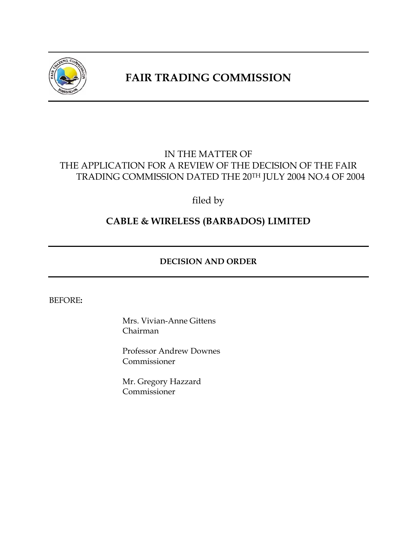

# **FAIR TRADING COMMISSION**

## IN THE MATTER OF THE APPLICATION FOR A REVIEW OF THE DECISION OF THE FAIR TRADING COMMISSION DATED THE 20TH JULY 2004 NO.4 OF 2004

filed by

## **CABLE & WIRELESS (BARBADOS) LIMITED**

## **DECISION AND ORDER**

#### BEFORE**:**

Mrs. Vivian-Anne Gittens Chairman

Professor Andrew Downes Commissioner

Mr. Gregory Hazzard Commissioner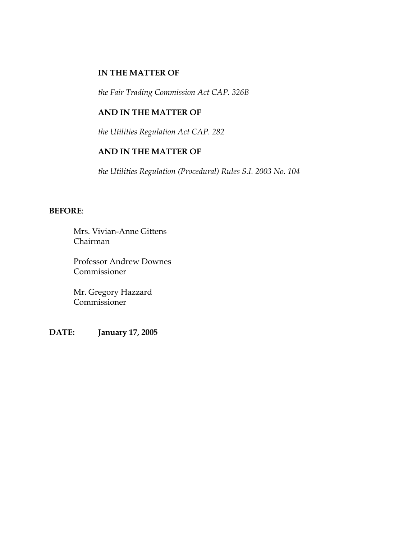#### **IN THE MATTER OF**

*the Fair Trading Commission Act CAP. 326B* 

#### **AND IN THE MATTER OF**

*the Utilities Regulation Act CAP. 282* 

#### **AND IN THE MATTER OF**

*the Utilities Regulation (Procedural) Rules S.I. 2003 No. 104* 

#### **BEFORE**:

Mrs. Vivian-Anne Gittens Chairman

Professor Andrew Downes Commissioner

Mr. Gregory Hazzard Commissioner

**DATE: January 17, 2005**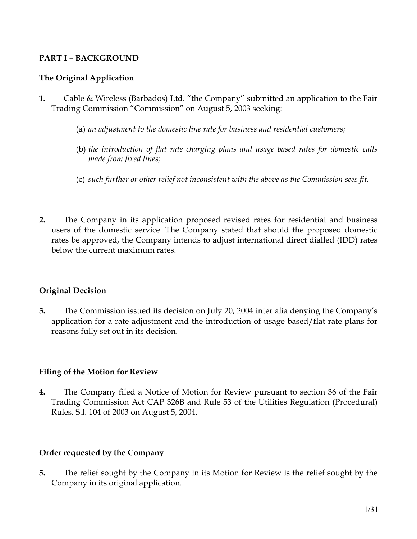## **PART I – BACKGROUND**

## **The Original Application**

- **1.** Cable & Wireless (Barbados) Ltd. "the Company" submitted an application to the Fair Trading Commission "Commission" on August 5, 2003 seeking:
	- (a) *an adjustment to the domestic line rate for business and residential customers;*
	- (b) *the introduction of flat rate charging plans and usage based rates for domestic calls made from fixed lines;*
	- (c) *such further or other relief not inconsistent with the above as the Commission sees fit.*
- **2.** The Company in its application proposed revised rates for residential and business users of the domestic service. The Company stated that should the proposed domestic rates be approved, the Company intends to adjust international direct dialled (IDD) rates below the current maximum rates.

## **Original Decision**

**3.** The Commission issued its decision on July 20, 2004 inter alia denying the Company's application for a rate adjustment and the introduction of usage based/flat rate plans for reasons fully set out in its decision.

## **Filing of the Motion for Review**

**4.** The Company filed a Notice of Motion for Review pursuant to section 36 of the Fair Trading Commission Act CAP 326B and Rule 53 of the Utilities Regulation (Procedural) Rules, S.I. 104 of 2003 on August 5, 2004.

## **Order requested by the Company**

**5.** The relief sought by the Company in its Motion for Review is the relief sought by the Company in its original application.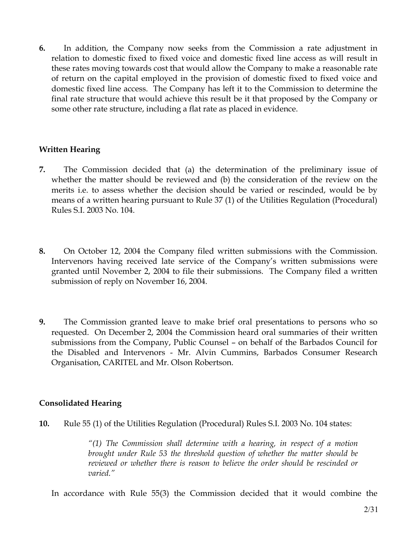**6.** In addition, the Company now seeks from the Commission a rate adjustment in relation to domestic fixed to fixed voice and domestic fixed line access as will result in these rates moving towards cost that would allow the Company to make a reasonable rate of return on the capital employed in the provision of domestic fixed to fixed voice and domestic fixed line access. The Company has left it to the Commission to determine the final rate structure that would achieve this result be it that proposed by the Company or some other rate structure, including a flat rate as placed in evidence.

### **Written Hearing**

- **7.** The Commission decided that (a) the determination of the preliminary issue of whether the matter should be reviewed and (b) the consideration of the review on the merits i.e. to assess whether the decision should be varied or rescinded, would be by means of a written hearing pursuant to Rule 37 (1) of the Utilities Regulation (Procedural) Rules S.I. 2003 No. 104.
- **8.** On October 12, 2004 the Company filed written submissions with the Commission. Intervenors having received late service of the Company's written submissions were granted until November 2, 2004 to file their submissions. The Company filed a written submission of reply on November 16, 2004.
- **9.** The Commission granted leave to make brief oral presentations to persons who so requested. On December 2, 2004 the Commission heard oral summaries of their written submissions from the Company, Public Counsel – on behalf of the Barbados Council for the Disabled and Intervenors - Mr. Alvin Cummins, Barbados Consumer Research Organisation, CARITEL and Mr. Olson Robertson.

#### **Consolidated Hearing**

**10.** Rule 55 (1) of the Utilities Regulation (Procedural) Rules S.I. 2003 No. 104 states:

*"(1) The Commission shall determine with a hearing, in respect of a motion brought under Rule 53 the threshold question of whether the matter should be reviewed or whether there is reason to believe the order should be rescinded or varied."* 

In accordance with Rule 55(3) the Commission decided that it would combine the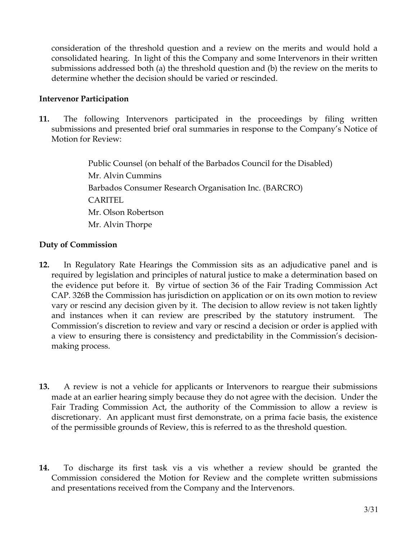consideration of the threshold question and a review on the merits and would hold a consolidated hearing. In light of this the Company and some Intervenors in their written submissions addressed both (a) the threshold question and (b) the review on the merits to determine whether the decision should be varied or rescinded.

### **Intervenor Participation**

**11.** The following Intervenors participated in the proceedings by filing written submissions and presented brief oral summaries in response to the Company's Notice of Motion for Review:

> Public Counsel (on behalf of the Barbados Council for the Disabled) Mr. Alvin Cummins Barbados Consumer Research Organisation Inc. (BARCRO) CARITEL Mr. Olson Robertson Mr. Alvin Thorpe

### **Duty of Commission**

- **12.** In Regulatory Rate Hearings the Commission sits as an adjudicative panel and is required by legislation and principles of natural justice to make a determination based on the evidence put before it. By virtue of section 36 of the Fair Trading Commission Act CAP. 326B the Commission has jurisdiction on application or on its own motion to review vary or rescind any decision given by it. The decision to allow review is not taken lightly and instances when it can review are prescribed by the statutory instrument. The Commission's discretion to review and vary or rescind a decision or order is applied with a view to ensuring there is consistency and predictability in the Commission's decisionmaking process.
- **13.** A review is not a vehicle for applicants or Intervenors to reargue their submissions made at an earlier hearing simply because they do not agree with the decision. Under the Fair Trading Commission Act, the authority of the Commission to allow a review is discretionary. An applicant must first demonstrate, on a prima facie basis, the existence of the permissible grounds of Review, this is referred to as the threshold question.
- **14.** To discharge its first task vis a vis whether a review should be granted the Commission considered the Motion for Review and the complete written submissions and presentations received from the Company and the Intervenors.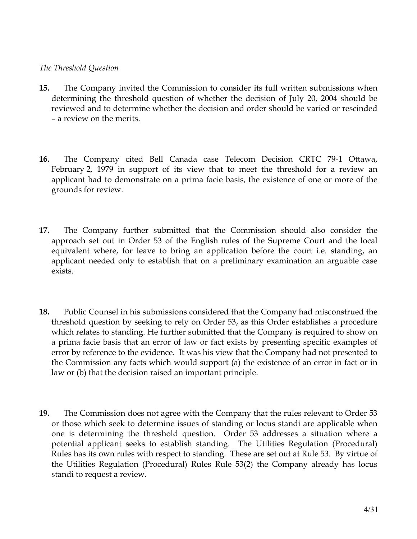#### *The Threshold Question*

- **15.** The Company invited the Commission to consider its full written submissions when determining the threshold question of whether the decision of July 20, 2004 should be reviewed and to determine whether the decision and order should be varied or rescinded – a review on the merits.
- **16.** The Company cited Bell Canada case Telecom Decision CRTC 79-1 Ottawa, February 2, 1979 in support of its view that to meet the threshold for a review an applicant had to demonstrate on a prima facie basis, the existence of one or more of the grounds for review.
- **17.** The Company further submitted that the Commission should also consider the approach set out in Order 53 of the English rules of the Supreme Court and the local equivalent where, for leave to bring an application before the court i.e. standing, an applicant needed only to establish that on a preliminary examination an arguable case exists.
- **18.** Public Counsel in his submissions considered that the Company had misconstrued the threshold question by seeking to rely on Order 53, as this Order establishes a procedure which relates to standing. He further submitted that the Company is required to show on a prima facie basis that an error of law or fact exists by presenting specific examples of error by reference to the evidence. It was his view that the Company had not presented to the Commission any facts which would support (a) the existence of an error in fact or in law or (b) that the decision raised an important principle.
- **19.** The Commission does not agree with the Company that the rules relevant to Order 53 or those which seek to determine issues of standing or locus standi are applicable when one is determining the threshold question. Order 53 addresses a situation where a potential applicant seeks to establish standing. The Utilities Regulation (Procedural) Rules has its own rules with respect to standing. These are set out at Rule 53. By virtue of the Utilities Regulation (Procedural) Rules Rule 53(2) the Company already has locus standi to request a review.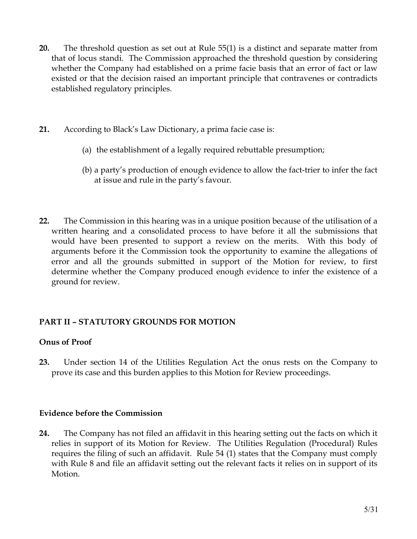- **20.** The threshold question as set out at Rule 55(1) is a distinct and separate matter from that of locus standi. The Commission approached the threshold question by considering whether the Company had established on a prime facie basis that an error of fact or law existed or that the decision raised an important principle that contravenes or contradicts established regulatory principles.
- **21.** According to Black's Law Dictionary, a prima facie case is:
	- (a) the establishment of a legally required rebuttable presumption;
	- (b) a party's production of enough evidence to allow the fact-trier to infer the fact at issue and rule in the party's favour.
- **22.** The Commission in this hearing was in a unique position because of the utilisation of a written hearing and a consolidated process to have before it all the submissions that would have been presented to support a review on the merits. With this body of arguments before it the Commission took the opportunity to examine the allegations of error and all the grounds submitted in support of the Motion for review, to first determine whether the Company produced enough evidence to infer the existence of a ground for review.

## **PART II – STATUTORY GROUNDS FOR MOTION**

## **Onus of Proof**

**23.** Under section 14 of the Utilities Regulation Act the onus rests on the Company to prove its case and this burden applies to this Motion for Review proceedings.

## **Evidence before the Commission**

**24.** The Company has not filed an affidavit in this hearing setting out the facts on which it relies in support of its Motion for Review. The Utilities Regulation (Procedural) Rules requires the filing of such an affidavit. Rule 54 (1) states that the Company must comply with Rule 8 and file an affidavit setting out the relevant facts it relies on in support of its Motion.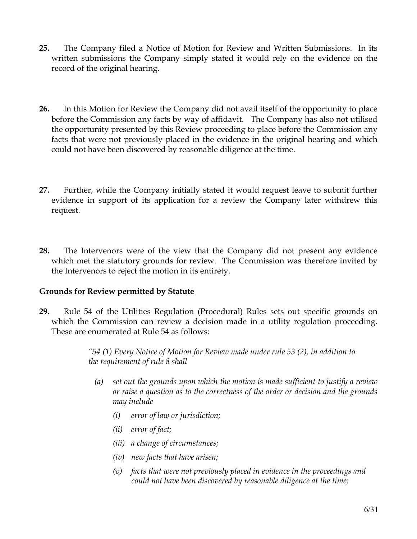- **25.** The Company filed a Notice of Motion for Review and Written Submissions. In its written submissions the Company simply stated it would rely on the evidence on the record of the original hearing.
- **26.** In this Motion for Review the Company did not avail itself of the opportunity to place before the Commission any facts by way of affidavit. The Company has also not utilised the opportunity presented by this Review proceeding to place before the Commission any facts that were not previously placed in the evidence in the original hearing and which could not have been discovered by reasonable diligence at the time.
- **27.** Further, while the Company initially stated it would request leave to submit further evidence in support of its application for a review the Company later withdrew this request.
- **28.** The Intervenors were of the view that the Company did not present any evidence which met the statutory grounds for review. The Commission was therefore invited by the Intervenors to reject the motion in its entirety.

## **Grounds for Review permitted by Statute**

**29.** Rule 54 of the Utilities Regulation (Procedural) Rules sets out specific grounds on which the Commission can review a decision made in a utility regulation proceeding. These are enumerated at Rule 54 as follows:

> *"54 (1) Every Notice of Motion for Review made under rule 53 (2), in addition to the requirement of rule 8 shall*

- *(a) set out the grounds upon which the motion is made sufficient to justify a review or raise a question as to the correctness of the order or decision and the grounds may include* 
	- *(i) error of law or jurisdiction;*
	- *(ii) error of fact;*
	- *(iii) a change of circumstances;*
	- *(iv) new facts that have arisen;*
	- *(v) facts that were not previously placed in evidence in the proceedings and could not have been discovered by reasonable diligence at the time;*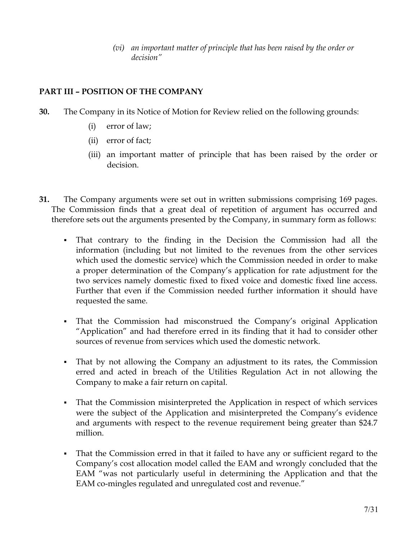*(vi) an important matter of principle that has been raised by the order or decision"* 

## **PART III – POSITION OF THE COMPANY**

- **30.** The Company in its Notice of Motion for Review relied on the following grounds:
	- (i) error of law;
	- (ii) error of fact;
	- (iii) an important matter of principle that has been raised by the order or decision.
- **31.** The Company arguments were set out in written submissions comprising 169 pages. The Commission finds that a great deal of repetition of argument has occurred and therefore sets out the arguments presented by the Company, in summary form as follows:
	- That contrary to the finding in the Decision the Commission had all the information (including but not limited to the revenues from the other services which used the domestic service) which the Commission needed in order to make a proper determination of the Company's application for rate adjustment for the two services namely domestic fixed to fixed voice and domestic fixed line access. Further that even if the Commission needed further information it should have requested the same.
	- That the Commission had misconstrued the Company's original Application "Application" and had therefore erred in its finding that it had to consider other sources of revenue from services which used the domestic network.
	- That by not allowing the Company an adjustment to its rates, the Commission erred and acted in breach of the Utilities Regulation Act in not allowing the Company to make a fair return on capital.
	- That the Commission misinterpreted the Application in respect of which services were the subject of the Application and misinterpreted the Company's evidence and arguments with respect to the revenue requirement being greater than \$24.7 million.
	- That the Commission erred in that it failed to have any or sufficient regard to the Company's cost allocation model called the EAM and wrongly concluded that the EAM "was not particularly useful in determining the Application and that the EAM co-mingles regulated and unregulated cost and revenue."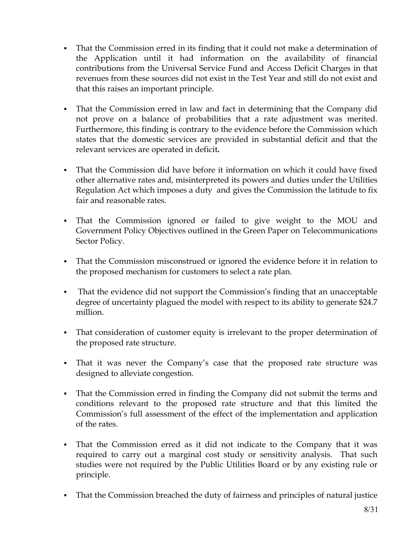- That the Commission erred in its finding that it could not make a determination of the Application until it had information on the availability of financial contributions from the Universal Service Fund and Access Deficit Charges in that revenues from these sources did not exist in the Test Year and still do not exist and that this raises an important principle.
- That the Commission erred in law and fact in determining that the Company did not prove on a balance of probabilities that a rate adjustment was merited. Furthermore, this finding is contrary to the evidence before the Commission which states that the domestic services are provided in substantial deficit and that the relevant services are operated in deficit**.**
- That the Commission did have before it information on which it could have fixed other alternative rates and, misinterpreted its powers and duties under the Utilities Regulation Act which imposes a duty and gives the Commission the latitude to fix fair and reasonable rates.
- That the Commission ignored or failed to give weight to the MOU and Government Policy Objectives outlined in the Green Paper on Telecommunications Sector Policy.
- That the Commission misconstrued or ignored the evidence before it in relation to the proposed mechanism for customers to select a rate plan.
- That the evidence did not support the Commission's finding that an unacceptable degree of uncertainty plagued the model with respect to its ability to generate \$24.7 million.
- That consideration of customer equity is irrelevant to the proper determination of the proposed rate structure.
- That it was never the Company's case that the proposed rate structure was designed to alleviate congestion.
- That the Commission erred in finding the Company did not submit the terms and conditions relevant to the proposed rate structure and that this limited the Commission's full assessment of the effect of the implementation and application of the rates.
- That the Commission erred as it did not indicate to the Company that it was required to carry out a marginal cost study or sensitivity analysis. That such studies were not required by the Public Utilities Board or by any existing rule or principle.
- That the Commission breached the duty of fairness and principles of natural justice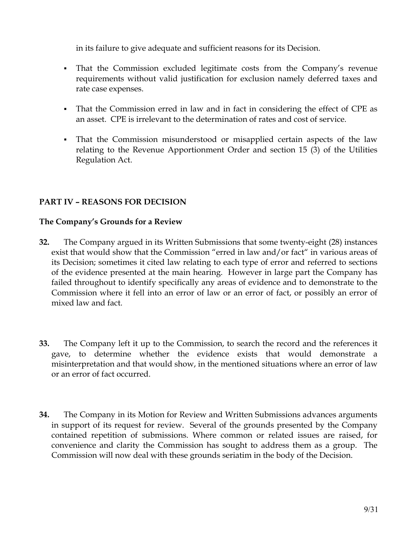in its failure to give adequate and sufficient reasons for its Decision.

- That the Commission excluded legitimate costs from the Company's revenue requirements without valid justification for exclusion namely deferred taxes and rate case expenses.
- That the Commission erred in law and in fact in considering the effect of CPE as an asset. CPE is irrelevant to the determination of rates and cost of service.
- That the Commission misunderstood or misapplied certain aspects of the law relating to the Revenue Apportionment Order and section 15 (3) of the Utilities Regulation Act.

## **PART IV – REASONS FOR DECISION**

### **The Company's Grounds for a Review**

- **32.** The Company argued in its Written Submissions that some twenty-eight (28) instances exist that would show that the Commission "erred in law and/or fact" in various areas of its Decision; sometimes it cited law relating to each type of error and referred to sections of the evidence presented at the main hearing. However in large part the Company has failed throughout to identify specifically any areas of evidence and to demonstrate to the Commission where it fell into an error of law or an error of fact, or possibly an error of mixed law and fact.
- **33.** The Company left it up to the Commission, to search the record and the references it gave, to determine whether the evidence exists that would demonstrate a misinterpretation and that would show, in the mentioned situations where an error of law or an error of fact occurred.
- **34.** The Company in its Motion for Review and Written Submissions advances arguments in support of its request for review. Several of the grounds presented by the Company contained repetition of submissions. Where common or related issues are raised, for convenience and clarity the Commission has sought to address them as a group. The Commission will now deal with these grounds seriatim in the body of the Decision.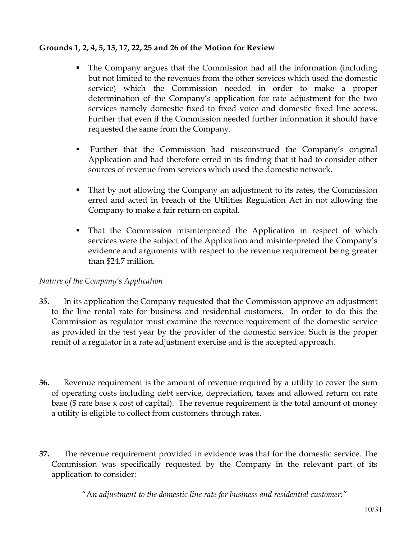## **Grounds 1, 2, 4, 5, 13, 17, 22, 25 and 26 of the Motion for Review**

- The Company argues that the Commission had all the information (including but not limited to the revenues from the other services which used the domestic service) which the Commission needed in order to make a proper determination of the Company's application for rate adjustment for the two services namely domestic fixed to fixed voice and domestic fixed line access. Further that even if the Commission needed further information it should have requested the same from the Company.
- Further that the Commission had misconstrued the Company's original Application and had therefore erred in its finding that it had to consider other sources of revenue from services which used the domestic network.
- That by not allowing the Company an adjustment to its rates, the Commission erred and acted in breach of the Utilities Regulation Act in not allowing the Company to make a fair return on capital.
- That the Commission misinterpreted the Application in respect of which services were the subject of the Application and misinterpreted the Company's evidence and arguments with respect to the revenue requirement being greater than \$24.7 million.

## *Nature of the Company's Application*

- **35.** In its application the Company requested that the Commission approve an adjustment to the line rental rate for business and residential customers. In order to do this the Commission as regulator must examine the revenue requirement of the domestic service as provided in the test year by the provider of the domestic service. Such is the proper remit of a regulator in a rate adjustment exercise and is the accepted approach.
- **36.** Revenue requirement is the amount of revenue required by a utility to cover the sum of operating costs including debt service, depreciation, taxes and allowed return on rate base (\$ rate base x cost of capital). The revenue requirement is the total amount of money a utility is eligible to collect from customers through rates.
- **37.** The revenue requirement provided in evidence was that for the domestic service. The Commission was specifically requested by the Company in the relevant part of its application to consider:

"A*n adjustment to the domestic line rate for business and residential customer;"*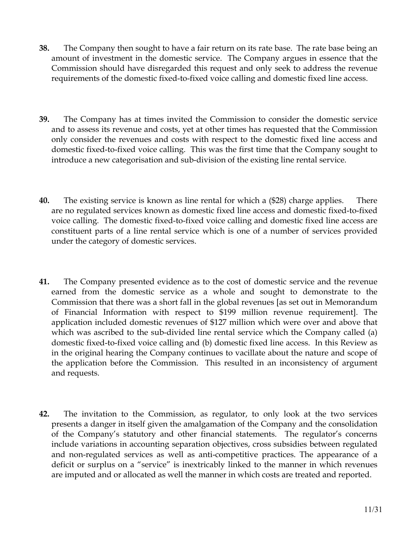- **38.** The Company then sought to have a fair return on its rate base. The rate base being an amount of investment in the domestic service. The Company argues in essence that the Commission should have disregarded this request and only seek to address the revenue requirements of the domestic fixed-to-fixed voice calling and domestic fixed line access.
- **39.** The Company has at times invited the Commission to consider the domestic service and to assess its revenue and costs, yet at other times has requested that the Commission only consider the revenues and costs with respect to the domestic fixed line access and domestic fixed-to-fixed voice calling. This was the first time that the Company sought to introduce a new categorisation and sub-division of the existing line rental service.
- **40.** The existing service is known as line rental for which a (\$28) charge applies. There are no regulated services known as domestic fixed line access and domestic fixed-to-fixed voice calling. The domestic fixed-to-fixed voice calling and domestic fixed line access are constituent parts of a line rental service which is one of a number of services provided under the category of domestic services.
- **41.** The Company presented evidence as to the cost of domestic service and the revenue earned from the domestic service as a whole and sought to demonstrate to the Commission that there was a short fall in the global revenues [as set out in Memorandum of Financial Information with respect to \$199 million revenue requirement]. The application included domestic revenues of \$127 million which were over and above that which was ascribed to the sub-divided line rental service which the Company called (a) domestic fixed-to-fixed voice calling and (b) domestic fixed line access. In this Review as in the original hearing the Company continues to vacillate about the nature and scope of the application before the Commission. This resulted in an inconsistency of argument and requests.
- **42.** The invitation to the Commission, as regulator, to only look at the two services presents a danger in itself given the amalgamation of the Company and the consolidation of the Company's statutory and other financial statements. The regulator's concerns include variations in accounting separation objectives, cross subsidies between regulated and non-regulated services as well as anti-competitive practices. The appearance of a deficit or surplus on a "service" is inextricably linked to the manner in which revenues are imputed and or allocated as well the manner in which costs are treated and reported.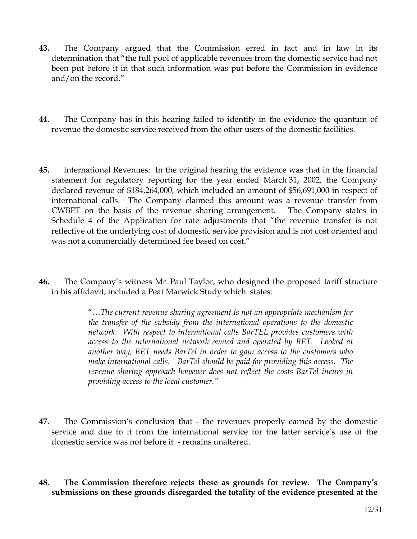- **43.** The Company argued that the Commission erred in fact and in law in its determination that "the full pool of applicable revenues from the domestic service had not been put before it in that such information was put before the Commission in evidence and/on the record."
- **44.** The Company has in this hearing failed to identify in the evidence the quantum of revenue the domestic service received from the other users of the domestic facilities.
- **45.** International Revenues: In the original hearing the evidence was that in the financial statement for regulatory reporting for the year ended March 31, 2002, the Company declared revenue of \$184,264,000, which included an amount of \$56,691,000 in respect of international calls. The Company claimed this amount was a revenue transfer from CWBET on the basis of the revenue sharing arrangement. The Company states in Schedule 4 of the Application for rate adjustments that "the revenue transfer is not reflective of the underlying cost of domestic service provision and is not cost oriented and was not a commercially determined fee based on cost."
- **46.** The Company's witness Mr. Paul Taylor, who designed the proposed tariff structure in his affidavit, included a Peat Marwick Study which states:

"*…The current revenue sharing agreement is not an appropriate mechanism for the transfer of the subsidy from the international operations to the domestic network. With respect to international calls BarTEL provides customers with access to the international network owned and operated by BET. Looked at another way, BET needs BarTel in order to gain access to the customers who make international calls. BarTel should be paid for providing this access. The revenue sharing approach however does not reflect the costs BarTel incurs in providing access to the local customer."* 

- **47.** The Commission's conclusion that the revenues properly earned by the domestic service and due to it from the international service for the latter service's use of the domestic service was not before it - remains unaltered.
- **48. The Commission therefore rejects these as grounds for review. The Company's submissions on these grounds disregarded the totality of the evidence presented at the**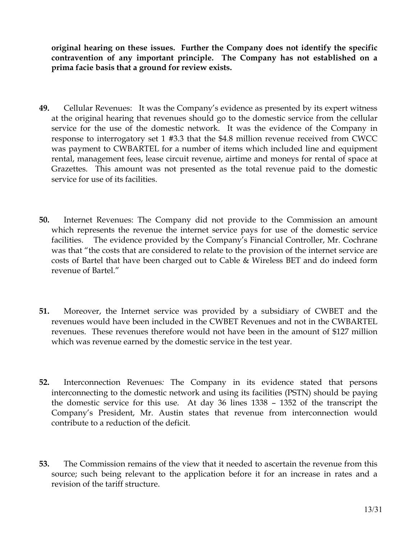**original hearing on these issues. Further the Company does not identify the specific contravention of any important principle. The Company has not established on a prima facie basis that a ground for review exists.** 

- **49.** Cellular Revenues:It was the Company's evidence as presented by its expert witness at the original hearing that revenues should go to the domestic service from the cellular service for the use of the domestic network. It was the evidence of the Company in response to interrogatory set 1 #3.3 that the \$4.8 million revenue received from CWCC was payment to CWBARTEL for a number of items which included line and equipment rental, management fees, lease circuit revenue, airtime and moneys for rental of space at Grazettes. This amount was not presented as the total revenue paid to the domestic service for use of its facilities.
- **50.** Internet Revenues: The Company did not provide to the Commission an amount which represents the revenue the internet service pays for use of the domestic service facilities. The evidence provided by the Company's Financial Controller, Mr. Cochrane was that "the costs that are considered to relate to the provision of the internet service are costs of Bartel that have been charged out to Cable & Wireless BET and do indeed form revenue of Bartel."
- **51.** Moreover, the Internet service was provided by a subsidiary of CWBET and the revenues would have been included in the CWBET Revenues and not in the CWBARTEL revenues. These revenues therefore would not have been in the amount of \$127 million which was revenue earned by the domestic service in the test year.
- **52.** Interconnection Revenues*:* The Company in its evidence stated that persons interconnecting to the domestic network and using its facilities (PSTN) should be paying the domestic service for this use. At day 36 lines 1338 – 1352 of the transcript the Company's President, Mr. Austin states that revenue from interconnection would contribute to a reduction of the deficit.
- **53.** The Commission remains of the view that it needed to ascertain the revenue from this source; such being relevant to the application before it for an increase in rates and a revision of the tariff structure.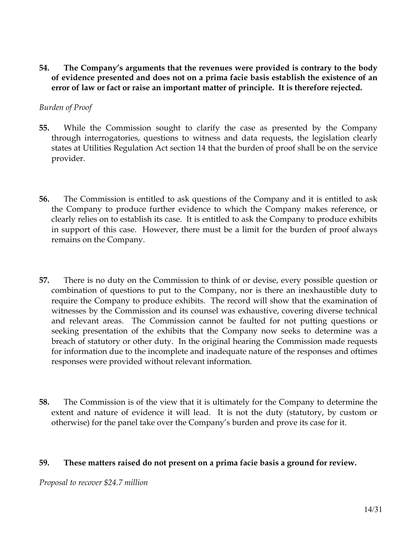**54. The Company's arguments that the revenues were provided is contrary to the body of evidence presented and does not on a prima facie basis establish the existence of an error of law or fact or raise an important matter of principle. It is therefore rejected.** 

### *Burden of Proof*

- **55.** While the Commission sought to clarify the case as presented by the Company through interrogatories, questions to witness and data requests, the legislation clearly states at Utilities Regulation Act section 14 that the burden of proof shall be on the service provider.
- **56.** The Commission is entitled to ask questions of the Company and it is entitled to ask the Company to produce further evidence to which the Company makes reference, or clearly relies on to establish its case. It is entitled to ask the Company to produce exhibits in support of this case. However, there must be a limit for the burden of proof always remains on the Company.
- **57.** There is no duty on the Commission to think of or devise, every possible question or combination of questions to put to the Company, nor is there an inexhaustible duty to require the Company to produce exhibits. The record will show that the examination of witnesses by the Commission and its counsel was exhaustive, covering diverse technical and relevant areas. The Commission cannot be faulted for not putting questions or seeking presentation of the exhibits that the Company now seeks to determine was a breach of statutory or other duty. In the original hearing the Commission made requests for information due to the incomplete and inadequate nature of the responses and oftimes responses were provided without relevant information.
- **58.** The Commission is of the view that it is ultimately for the Company to determine the extent and nature of evidence it will lead. It is not the duty (statutory, by custom or otherwise) for the panel take over the Company's burden and prove its case for it.

#### **59. These matters raised do not present on a prima facie basis a ground for review.**

*Proposal to recover \$24.7 million*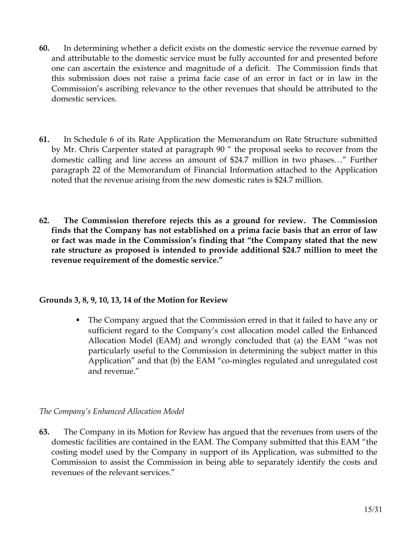- **60.** In determining whether a deficit exists on the domestic service the revenue earned by and attributable to the domestic service must be fully accounted for and presented before one can ascertain the existence and magnitude of a deficit. The Commission finds that this submission does not raise a prima facie case of an error in fact or in law in the Commission's ascribing relevance to the other revenues that should be attributed to the domestic services.
- **61.** In Schedule 6 of its Rate Application the Memorandum on Rate Structure submitted by Mr. Chris Carpenter stated at paragraph 90 " the proposal seeks to recover from the domestic calling and line access an amount of \$24.7 million in two phases…" Further paragraph 22 of the Memorandum of Financial Information attached to the Application noted that the revenue arising from the new domestic rates is \$24.7 million.
- **62. The Commission therefore rejects this as a ground for review. The Commission finds that the Company has not established on a prima facie basis that an error of law or fact was made in the Commission's finding that "the Company stated that the new rate structure as proposed is intended to provide additional \$24.7 million to meet the revenue requirement of the domestic service."**

## **Grounds 3, 8, 9, 10, 13, 14 of the Motion for Review**

 The Company argued that the Commission erred in that it failed to have any or sufficient regard to the Company's cost allocation model called the Enhanced Allocation Model (EAM) and wrongly concluded that (a) the EAM "was not particularly useful to the Commission in determining the subject matter in this Application" and that (b) the EAM "co-mingles regulated and unregulated cost and revenue."

## *The Company's Enhanced Allocation Model*

**63.** The Company in its Motion for Review has argued that the revenues from users of the domestic facilities are contained in the EAM. The Company submitted that this EAM "the costing model used by the Company in support of its Application, was submitted to the Commission to assist the Commission in being able to separately identify the costs and revenues of the relevant services."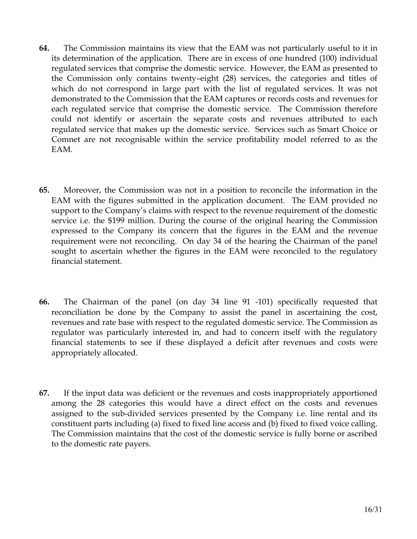- **64.** The Commission maintains its view that the EAM was not particularly useful to it in its determination of the application. There are in excess of one hundred (100) individual regulated services that comprise the domestic service. However, the EAM as presented to the Commission only contains twenty–eight (28) services, the categories and titles of which do not correspond in large part with the list of regulated services. It was not demonstrated to the Commission that the EAM captures or records costs and revenues for each regulated service that comprise the domestic service. The Commission therefore could not identify or ascertain the separate costs and revenues attributed to each regulated service that makes up the domestic service. Services such as Smart Choice or Comnet are not recognisable within the service profitability model referred to as the EAM.
- **65.** Moreover, the Commission was not in a position to reconcile the information in the EAM with the figures submitted in the application document. The EAM provided no support to the Company's claims with respect to the revenue requirement of the domestic service i.e. the \$199 million. During the course of the original hearing the Commission expressed to the Company its concern that the figures in the EAM and the revenue requirement were not reconciling. On day 34 of the hearing the Chairman of the panel sought to ascertain whether the figures in the EAM were reconciled to the regulatory financial statement.
- **66.** The Chairman of the panel (on day 34 line 91 -101) specifically requested that reconciliation be done by the Company to assist the panel in ascertaining the cost, revenues and rate base with respect to the regulated domestic service. The Commission as regulator was particularly interested in, and had to concern itself with the regulatory financial statements to see if these displayed a deficit after revenues and costs were appropriately allocated.
- **67.** If the input data was deficient or the revenues and costs inappropriately apportioned among the 28 categories this would have a direct effect on the costs and revenues assigned to the sub-divided services presented by the Company i.e. line rental and its constituent parts including (a) fixed to fixed line access and (b) fixed to fixed voice calling. The Commission maintains that the cost of the domestic service is fully borne or ascribed to the domestic rate payers.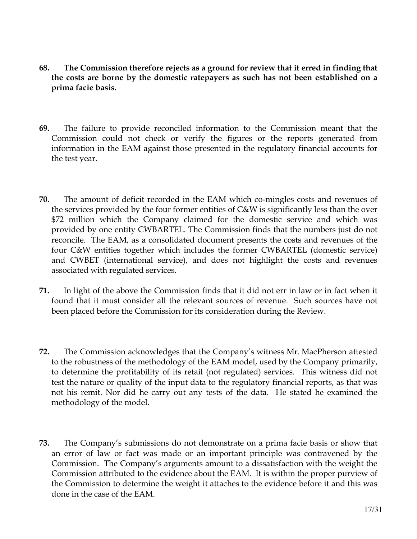- **68. The Commission therefore rejects as a ground for review that it erred in finding that the costs are borne by the domestic ratepayers as such has not been established on a prima facie basis.**
- **69.** The failure to provide reconciled information to the Commission meant that the Commission could not check or verify the figures or the reports generated from information in the EAM against those presented in the regulatory financial accounts for the test year.
- **70.** The amount of deficit recorded in the EAM which co-mingles costs and revenues of the services provided by the four former entities of C&W is significantly less than the over \$72 million which the Company claimed for the domestic service and which was provided by one entity CWBARTEL. The Commission finds that the numbers just do not reconcile. The EAM, as a consolidated document presents the costs and revenues of the four C&W entities together which includes the former CWBARTEL (domestic service) and CWBET (international service), and does not highlight the costs and revenues associated with regulated services.
- **71.** In light of the above the Commission finds that it did not err in law or in fact when it found that it must consider all the relevant sources of revenue. Such sources have not been placed before the Commission for its consideration during the Review.
- **72.** The Commission acknowledges that the Company's witness Mr. MacPherson attested to the robustness of the methodology of the EAM model, used by the Company primarily, to determine the profitability of its retail (not regulated) services. This witness did not test the nature or quality of the input data to the regulatory financial reports, as that was not his remit. Nor did he carry out any tests of the data. He stated he examined the methodology of the model.
- **73.** The Company's submissions do not demonstrate on a prima facie basis or show that an error of law or fact was made or an important principle was contravened by the Commission. The Company's arguments amount to a dissatisfaction with the weight the Commission attributed to the evidence about the EAM. It is within the proper purview of the Commission to determine the weight it attaches to the evidence before it and this was done in the case of the EAM.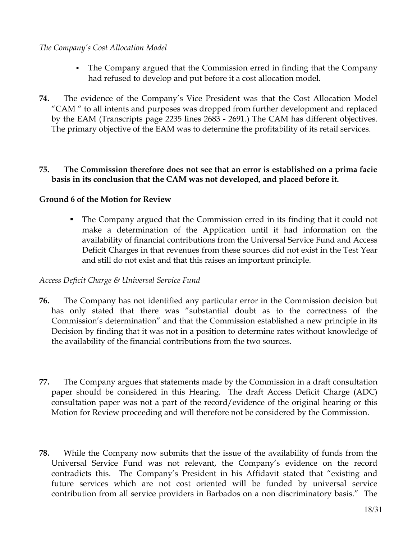### *The Company's Cost Allocation Model*

- The Company argued that the Commission erred in finding that the Company had refused to develop and put before it a cost allocation model.
- **74.** The evidence of the Company's Vice President was that the Cost Allocation Model "CAM " to all intents and purposes was dropped from further development and replaced by the EAM (Transcripts page 2235 lines 2683 - 2691.) The CAM has different objectives. The primary objective of the EAM was to determine the profitability of its retail services.

#### **75. The Commission therefore does not see that an error is established on a prima facie basis in its conclusion that the CAM was not developed, and placed before it.**

## **Ground 6 of the Motion for Review**

 The Company argued that the Commission erred in its finding that it could not make a determination of the Application until it had information on the availability of financial contributions from the Universal Service Fund and Access Deficit Charges in that revenues from these sources did not exist in the Test Year and still do not exist and that this raises an important principle.

#### *Access Deficit Charge & Universal Service Fund*

- **76.** The Company has not identified any particular error in the Commission decision but has only stated that there was "substantial doubt as to the correctness of the Commission's determination" and that the Commission established a new principle in its Decision by finding that it was not in a position to determine rates without knowledge of the availability of the financial contributions from the two sources.
- **77.** The Company argues that statements made by the Commission in a draft consultation paper should be considered in this Hearing. The draft Access Deficit Charge (ADC) consultation paper was not a part of the record/evidence of the original hearing or this Motion for Review proceeding and will therefore not be considered by the Commission.
- **78.** While the Company now submits that the issue of the availability of funds from the Universal Service Fund was not relevant, the Company's evidence on the record contradicts this. The Company's President in his Affidavit stated that "existing and future services which are not cost oriented will be funded by universal service contribution from all service providers in Barbados on a non discriminatory basis." The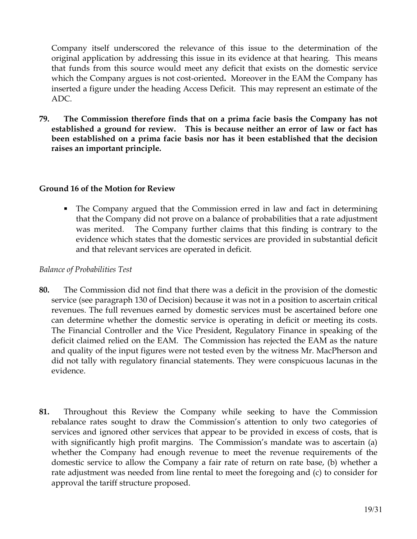Company itself underscored the relevance of this issue to the determination of the original application by addressing this issue in its evidence at that hearing. This means that funds from this source would meet any deficit that exists on the domestic service which the Company argues is not cost-oriented**.** Moreover in the EAM the Company has inserted a figure under the heading Access Deficit. This may represent an estimate of the ADC.

**79. The Commission therefore finds that on a prima facie basis the Company has not established a ground for review. This is because neither an error of law or fact has been established on a prima facie basis nor has it been established that the decision raises an important principle.** 

### **Ground 16 of the Motion for Review**

• The Company argued that the Commission erred in law and fact in determining that the Company did not prove on a balance of probabilities that a rate adjustment was merited. The Company further claims that this finding is contrary to the evidence which states that the domestic services are provided in substantial deficit and that relevant services are operated in deficit.

#### *Balance of Probabilities Test*

- **80.** The Commission did not find that there was a deficit in the provision of the domestic service (see paragraph 130 of Decision) because it was not in a position to ascertain critical revenues. The full revenues earned by domestic services must be ascertained before one can determine whether the domestic service is operating in deficit or meeting its costs. The Financial Controller and the Vice President, Regulatory Finance in speaking of the deficit claimed relied on the EAM. The Commission has rejected the EAM as the nature and quality of the input figures were not tested even by the witness Mr. MacPherson and did not tally with regulatory financial statements. They were conspicuous lacunas in the evidence.
- **81.** Throughout this Review the Company while seeking to have the Commission rebalance rates sought to draw the Commission's attention to only two categories of services and ignored other services that appear to be provided in excess of costs, that is with significantly high profit margins. The Commission's mandate was to ascertain (a) whether the Company had enough revenue to meet the revenue requirements of the domestic service to allow the Company a fair rate of return on rate base, (b) whether a rate adjustment was needed from line rental to meet the foregoing and (c) to consider for approval the tariff structure proposed.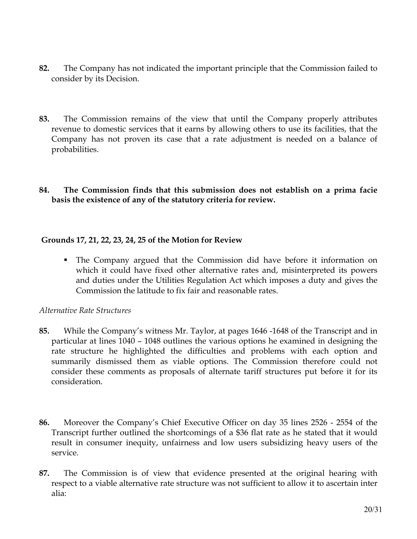- **82.** The Company has not indicated the important principle that the Commission failed to consider by its Decision.
- **83.** The Commission remains of the view that until the Company properly attributes revenue to domestic services that it earns by allowing others to use its facilities, that the Company has not proven its case that a rate adjustment is needed on a balance of probabilities.
- **84. The Commission finds that this submission does not establish on a prima facie basis the existence of any of the statutory criteria for review.**

## **Grounds 17, 21, 22, 23, 24, 25 of the Motion for Review**

 The Company argued that the Commission did have before it information on which it could have fixed other alternative rates and, misinterpreted its powers and duties under the Utilities Regulation Act which imposes a duty and gives the Commission the latitude to fix fair and reasonable rates.

#### *Alternative Rate Structures*

- **85.** While the Company's witness Mr. Taylor, at pages 1646 -1648 of the Transcript and in particular at lines 1040 – 1048 outlines the various options he examined in designing the rate structure he highlighted the difficulties and problems with each option and summarily dismissed them as viable options. The Commission therefore could not consider these comments as proposals of alternate tariff structures put before it for its consideration.
- **86.** Moreover the Company's Chief Executive Officer on day 35 lines 2526 2554 of the Transcript further outlined the shortcomings of a \$36 flat rate as he stated that it would result in consumer inequity, unfairness and low users subsidizing heavy users of the service.
- **87.** The Commission is of view that evidence presented at the original hearing with respect to a viable alternative rate structure was not sufficient to allow it to ascertain inter alia: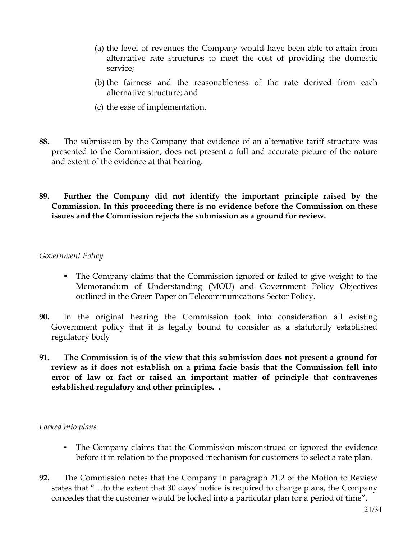- (a) the level of revenues the Company would have been able to attain from alternative rate structures to meet the cost of providing the domestic service;
- (b) the fairness and the reasonableness of the rate derived from each alternative structure; and
- (c) the ease of implementation.
- **88.** The submission by the Company that evidence of an alternative tariff structure was presented to the Commission, does not present a full and accurate picture of the nature and extent of the evidence at that hearing.
- **89. Further the Company did not identify the important principle raised by the Commission. In this proceeding there is no evidence before the Commission on these issues and the Commission rejects the submission as a ground for review.**

### *Government Policy*

- The Company claims that the Commission ignored or failed to give weight to the Memorandum of Understanding (MOU) and Government Policy Objectives outlined in the Green Paper on Telecommunications Sector Policy.
- **90.** In the original hearing the Commission took into consideration all existing Government policy that it is legally bound to consider as a statutorily established regulatory body
- **91. The Commission is of the view that this submission does not present a ground for review as it does not establish on a prima facie basis that the Commission fell into error of law or fact or raised an important matter of principle that contravenes established regulatory and other principles. .**

## *Locked into plans*

- The Company claims that the Commission misconstrued or ignored the evidence before it in relation to the proposed mechanism for customers to select a rate plan.
- **92.** The Commission notes that the Company in paragraph 21.2 of the Motion to Review states that "…to the extent that 30 days' notice is required to change plans, the Company concedes that the customer would be locked into a particular plan for a period of time".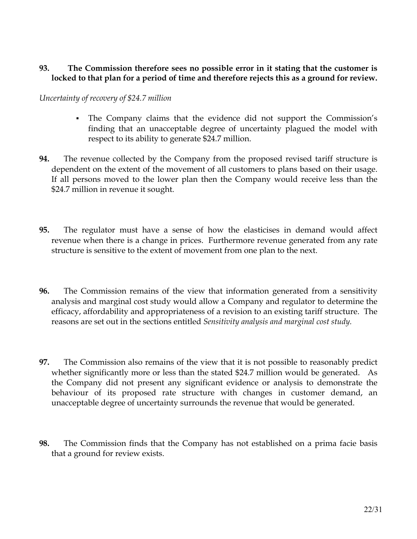### **93. The Commission therefore sees no possible error in it stating that the customer is locked to that plan for a period of time and therefore rejects this as a ground for review.**

#### *Uncertainty of recovery of \$24.7 million*

- The Company claims that the evidence did not support the Commission's finding that an unacceptable degree of uncertainty plagued the model with respect to its ability to generate \$24.7 million.
- **94.** The revenue collected by the Company from the proposed revised tariff structure is dependent on the extent of the movement of all customers to plans based on their usage. If all persons moved to the lower plan then the Company would receive less than the \$24.7 million in revenue it sought.
- **95.** The regulator must have a sense of how the elasticises in demand would affect revenue when there is a change in prices. Furthermore revenue generated from any rate structure is sensitive to the extent of movement from one plan to the next.
- **96.** The Commission remains of the view that information generated from a sensitivity analysis and marginal cost study would allow a Company and regulator to determine the efficacy, affordability and appropriateness of a revision to an existing tariff structure. The reasons are set out in the sections entitled *Sensitivity analysis and marginal cost study.*
- **97.** The Commission also remains of the view that it is not possible to reasonably predict whether significantly more or less than the stated \$24.7 million would be generated. As the Company did not present any significant evidence or analysis to demonstrate the behaviour of its proposed rate structure with changes in customer demand, an unacceptable degree of uncertainty surrounds the revenue that would be generated.
- **98.** The Commission finds that the Company has not established on a prima facie basis that a ground for review exists.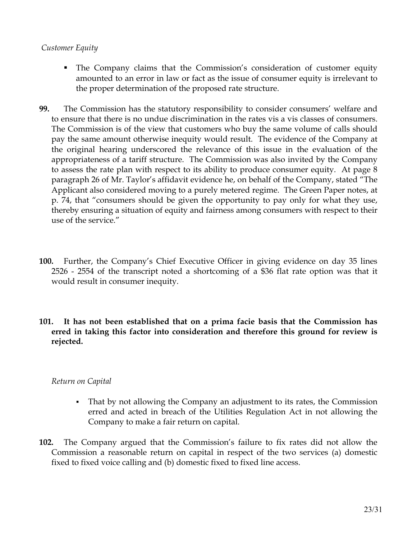#### *Customer Equity*

- The Company claims that the Commission's consideration of customer equity amounted to an error in law or fact as the issue of consumer equity is irrelevant to the proper determination of the proposed rate structure.
- **99.** The Commission has the statutory responsibility to consider consumers' welfare and to ensure that there is no undue discrimination in the rates vis a vis classes of consumers. The Commission is of the view that customers who buy the same volume of calls should pay the same amount otherwise inequity would result. The evidence of the Company at the original hearing underscored the relevance of this issue in the evaluation of the appropriateness of a tariff structure. The Commission was also invited by the Company to assess the rate plan with respect to its ability to produce consumer equity. At page 8 paragraph 26 of Mr. Taylor's affidavit evidence he, on behalf of the Company, stated "The Applicant also considered moving to a purely metered regime. The Green Paper notes, at p. 74, that "consumers should be given the opportunity to pay only for what they use, thereby ensuring a situation of equity and fairness among consumers with respect to their use of the service."
- **100.** Further, the Company's Chief Executive Officer in giving evidence on day 35 lines 2526 - 2554 of the transcript noted a shortcoming of a \$36 flat rate option was that it would result in consumer inequity.
- **101. It has not been established that on a prima facie basis that the Commission has erred in taking this factor into consideration and therefore this ground for review is rejected.**

## *Return on Capital*

- That by not allowing the Company an adjustment to its rates, the Commission erred and acted in breach of the Utilities Regulation Act in not allowing the Company to make a fair return on capital.
- **102.** The Company argued that the Commission's failure to fix rates did not allow the Commission a reasonable return on capital in respect of the two services (a) domestic fixed to fixed voice calling and (b) domestic fixed to fixed line access.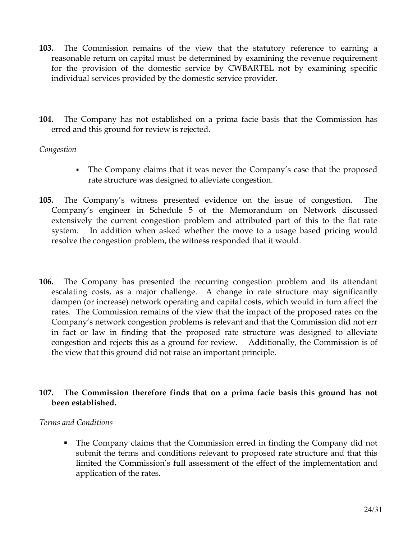- **103.** The Commission remains of the view that the statutory reference to earning a reasonable return on capital must be determined by examining the revenue requirement for the provision of the domestic service by CWBARTEL not by examining specific individual services provided by the domestic service provider.
- **104.** The Company has not established on a prima facie basis that the Commission has erred and this ground for review is rejected.

## *Congestion*

- The Company claims that it was never the Company's case that the proposed rate structure was designed to alleviate congestion.
- **105.** The Company's witness presented evidence on the issue of congestion. The Company's engineer in Schedule 5 of the Memorandum on Network discussed extensively the current congestion problem and attributed part of this to the flat rate system. In addition when asked whether the move to a usage based pricing would resolve the congestion problem, the witness responded that it would.
- **106.** The Company has presented the recurring congestion problem and its attendant escalating costs, as a major challenge. A change in rate structure may significantly dampen (or increase) network operating and capital costs, which would in turn affect the rates. The Commission remains of the view that the impact of the proposed rates on the Company's network congestion problems is relevant and that the Commission did not err in fact or law in finding that the proposed rate structure was designed to alleviate congestion and rejects this as a ground for review. Additionally, the Commission is of the view that this ground did not raise an important principle.

### **107. The Commission therefore finds that on a prima facie basis this ground has not been established.**

#### *Terms and Conditions*

 The Company claims that the Commission erred in finding the Company did not submit the terms and conditions relevant to proposed rate structure and that this limited the Commission's full assessment of the effect of the implementation and application of the rates.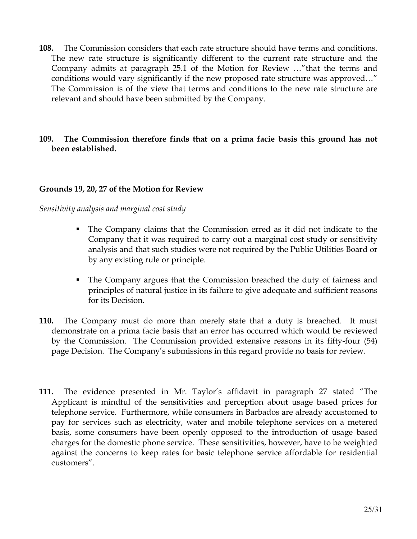**108.** The Commission considers that each rate structure should have terms and conditions. The new rate structure is significantly different to the current rate structure and the Company admits at paragraph 25.1 of the Motion for Review …"that the terms and conditions would vary significantly if the new proposed rate structure was approved…" The Commission is of the view that terms and conditions to the new rate structure are relevant and should have been submitted by the Company.

#### **109. The Commission therefore finds that on a prima facie basis this ground has not been established.**

### **Grounds 19, 20, 27 of the Motion for Review**

#### *Sensitivity analysis and marginal cost study*

- The Company claims that the Commission erred as it did not indicate to the Company that it was required to carry out a marginal cost study or sensitivity analysis and that such studies were not required by the Public Utilities Board or by any existing rule or principle.
- The Company argues that the Commission breached the duty of fairness and principles of natural justice in its failure to give adequate and sufficient reasons for its Decision.
- **110.** The Company must do more than merely state that a duty is breached. It must demonstrate on a prima facie basis that an error has occurred which would be reviewed by the Commission. The Commission provided extensive reasons in its fifty-four (54) page Decision. The Company's submissions in this regard provide no basis for review.
- **111.** The evidence presented in Mr. Taylor's affidavit in paragraph 27 stated "The Applicant is mindful of the sensitivities and perception about usage based prices for telephone service. Furthermore, while consumers in Barbados are already accustomed to pay for services such as electricity, water and mobile telephone services on a metered basis, some consumers have been openly opposed to the introduction of usage based charges for the domestic phone service. These sensitivities, however, have to be weighted against the concerns to keep rates for basic telephone service affordable for residential customers".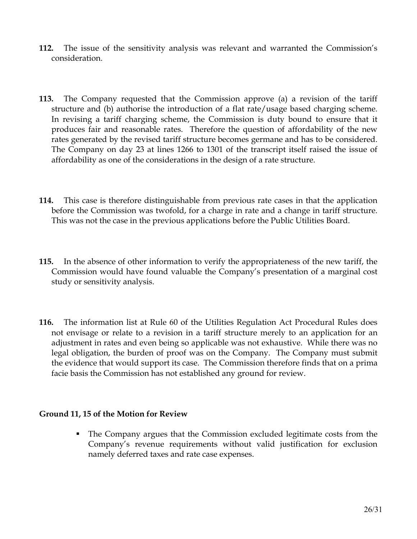- **112.** The issue of the sensitivity analysis was relevant and warranted the Commission's consideration.
- **113.** The Company requested that the Commission approve (a) a revision of the tariff structure and (b) authorise the introduction of a flat rate/usage based charging scheme. In revising a tariff charging scheme, the Commission is duty bound to ensure that it produces fair and reasonable rates. Therefore the question of affordability of the new rates generated by the revised tariff structure becomes germane and has to be considered. The Company on day 23 at lines 1266 to 1301 of the transcript itself raised the issue of affordability as one of the considerations in the design of a rate structure.
- **114.** This case is therefore distinguishable from previous rate cases in that the application before the Commission was twofold, for a charge in rate and a change in tariff structure. This was not the case in the previous applications before the Public Utilities Board.
- **115.** In the absence of other information to verify the appropriateness of the new tariff, the Commission would have found valuable the Company's presentation of a marginal cost study or sensitivity analysis.
- **116.** The information list at Rule 60 of the Utilities Regulation Act Procedural Rules does not envisage or relate to a revision in a tariff structure merely to an application for an adjustment in rates and even being so applicable was not exhaustive. While there was no legal obligation, the burden of proof was on the Company. The Company must submit the evidence that would support its case. The Commission therefore finds that on a prima facie basis the Commission has not established any ground for review.

#### **Ground 11, 15 of the Motion for Review**

 The Company argues that the Commission excluded legitimate costs from the Company's revenue requirements without valid justification for exclusion namely deferred taxes and rate case expenses.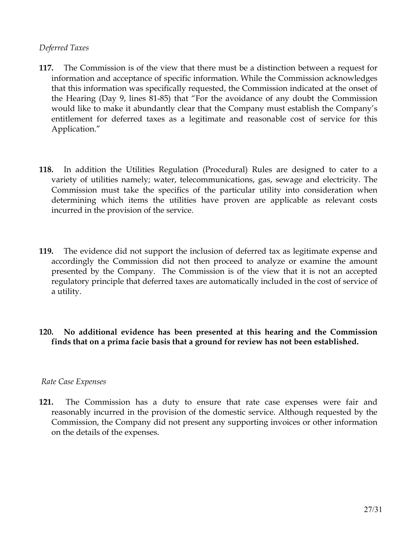#### *Deferred Taxes*

- **117.** The Commission is of the view that there must be a distinction between a request for information and acceptance of specific information. While the Commission acknowledges that this information was specifically requested, the Commission indicated at the onset of the Hearing (Day 9, lines 81-85) that "For the avoidance of any doubt the Commission would like to make it abundantly clear that the Company must establish the Company's entitlement for deferred taxes as a legitimate and reasonable cost of service for this Application."
- **118.** In addition the Utilities Regulation (Procedural) Rules are designed to cater to a variety of utilities namely; water, telecommunications, gas, sewage and electricity. The Commission must take the specifics of the particular utility into consideration when determining which items the utilities have proven are applicable as relevant costs incurred in the provision of the service.
- **119.** The evidence did not support the inclusion of deferred tax as legitimate expense and accordingly the Commission did not then proceed to analyze or examine the amount presented by the Company. The Commission is of the view that it is not an accepted regulatory principle that deferred taxes are automatically included in the cost of service of a utility.
- **120. No additional evidence has been presented at this hearing and the Commission finds that on a prima facie basis that a ground for review has not been established.**

#### *Rate Case Expenses*

**121.** The Commission has a duty to ensure that rate case expenses were fair and reasonably incurred in the provision of the domestic service. Although requested by the Commission, the Company did not present any supporting invoices or other information on the details of the expenses.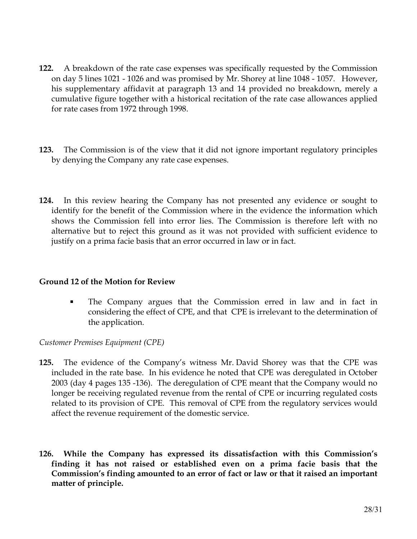- **122.** A breakdown of the rate case expenses was specifically requested by the Commission on day 5 lines 1021 - 1026 and was promised by Mr. Shorey at line 1048 - 1057. However, his supplementary affidavit at paragraph 13 and 14 provided no breakdown, merely a cumulative figure together with a historical recitation of the rate case allowances applied for rate cases from 1972 through 1998.
- **123.** The Commission is of the view that it did not ignore important regulatory principles by denying the Company any rate case expenses.
- **124.** In this review hearing the Company has not presented any evidence or sought to identify for the benefit of the Commission where in the evidence the information which shows the Commission fell into error lies. The Commission is therefore left with no alternative but to reject this ground as it was not provided with sufficient evidence to justify on a prima facie basis that an error occurred in law or in fact.

#### **Ground 12 of the Motion for Review**

 The Company argues that the Commission erred in law and in fact in considering the effect of CPE, and that CPE is irrelevant to the determination of the application.

## *Customer Premises Equipment (CPE)*

- **125.** The evidence of the Company's witness Mr. David Shorey was that the CPE was included in the rate base. In his evidence he noted that CPE was deregulated in October 2003 (day 4 pages 135 -136). The deregulation of CPE meant that the Company would no longer be receiving regulated revenue from the rental of CPE or incurring regulated costs related to its provision of CPE. This removal of CPE from the regulatory services would affect the revenue requirement of the domestic service.
- **126. While the Company has expressed its dissatisfaction with this Commission's finding it has not raised or established even on a prima facie basis that the Commission's finding amounted to an error of fact or law or that it raised an important matter of principle.**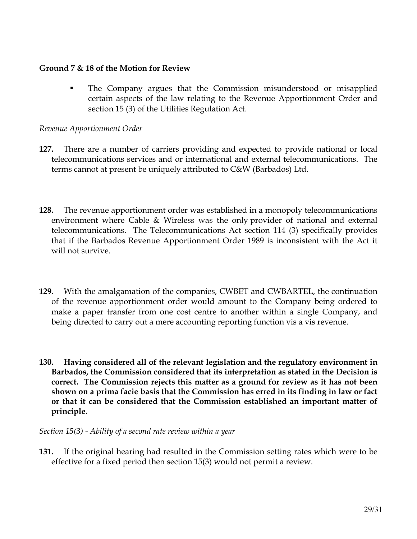#### **Ground 7 & 18 of the Motion for Review**

 The Company argues that the Commission misunderstood or misapplied certain aspects of the law relating to the Revenue Apportionment Order and section 15 (3) of the Utilities Regulation Act.

#### *Revenue Apportionment Order*

- **127.** There are a number of carriers providing and expected to provide national or local telecommunications services and or international and external telecommunications. The terms cannot at present be uniquely attributed to C&W (Barbados) Ltd.
- **128.** The revenue apportionment order was established in a monopoly telecommunications environment where Cable & Wireless was the only provider of national and external telecommunications. The Telecommunications Act section 114 (3) specifically provides that if the Barbados Revenue Apportionment Order 1989 is inconsistent with the Act it will not survive.
- **129.** With the amalgamation of the companies, CWBET and CWBARTEL, the continuation of the revenue apportionment order would amount to the Company being ordered to make a paper transfer from one cost centre to another within a single Company, and being directed to carry out a mere accounting reporting function vis a vis revenue.
- **130. Having considered all of the relevant legislation and the regulatory environment in Barbados, the Commission considered that its interpretation as stated in the Decision is correct. The Commission rejects this matter as a ground for review as it has not been shown on a prima facie basis that the Commission has erred in its finding in law or fact or that it can be considered that the Commission established an important matter of principle.**

*Section 15(3) - Ability of a second rate review within a year* 

**131.** If the original hearing had resulted in the Commission setting rates which were to be effective for a fixed period then section 15(3) would not permit a review.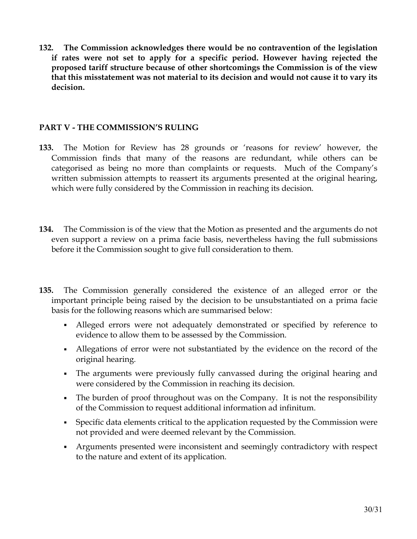**132. The Commission acknowledges there would be no contravention of the legislation if rates were not set to apply for a specific period. However having rejected the proposed tariff structure because of other shortcomings the Commission is of the view that this misstatement was not material to its decision and would not cause it to vary its decision.**

### **PART V - THE COMMISSION'S RULING**

- **133.** The Motion for Review has 28 grounds or 'reasons for review' however, the Commission finds that many of the reasons are redundant, while others can be categorised as being no more than complaints or requests. Much of the Company's written submission attempts to reassert its arguments presented at the original hearing, which were fully considered by the Commission in reaching its decision.
- **134.** The Commission is of the view that the Motion as presented and the arguments do not even support a review on a prima facie basis, nevertheless having the full submissions before it the Commission sought to give full consideration to them.
- **135.** The Commission generally considered the existence of an alleged error or the important principle being raised by the decision to be unsubstantiated on a prima facie basis for the following reasons which are summarised below:
	- Alleged errors were not adequately demonstrated or specified by reference to evidence to allow them to be assessed by the Commission.
	- Allegations of error were not substantiated by the evidence on the record of the original hearing.
	- The arguments were previously fully canvassed during the original hearing and were considered by the Commission in reaching its decision.
	- The burden of proof throughout was on the Company. It is not the responsibility of the Commission to request additional information ad infinitum.
	- Specific data elements critical to the application requested by the Commission were not provided and were deemed relevant by the Commission.
	- Arguments presented were inconsistent and seemingly contradictory with respect to the nature and extent of its application.